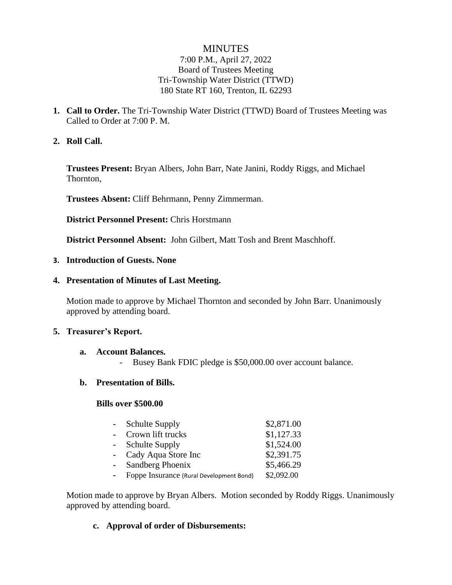# **MINUTES**

### 7:00 P.M., April 27, 2022 Board of Trustees Meeting Tri-Township Water District (TTWD) 180 State RT 160, Trenton, IL 62293

**1. Call to Order.** The Tri-Township Water District (TTWD) Board of Trustees Meeting was Called to Order at 7:00 P. M.

### **2. Roll Call.**

**Trustees Present:** Bryan Albers, John Barr, Nate Janini, Roddy Riggs, and Michael Thornton,

**Trustees Absent:** Cliff Behrmann, Penny Zimmerman.

**District Personnel Present:** Chris Horstmann

**District Personnel Absent:** John Gilbert, Matt Tosh and Brent Maschhoff.

### **3. Introduction of Guests. None**

### **4. Presentation of Minutes of Last Meeting.**

Motion made to approve by Michael Thornton and seconded by John Barr. Unanimously approved by attending board.

### **5. Treasurer's Report.**

#### **a. Account Balances.**

Busey Bank FDIC pledge is \$50,000.00 over account balance.

### **b. Presentation of Bills.**

#### **Bills over \$500.00**

| <b>Schulte Supply</b>                    | \$2,871.00 |
|------------------------------------------|------------|
| - Crown lift trucks                      | \$1,127.33 |
| <b>Schulte Supply</b>                    | \$1,524.00 |
| - Cady Aqua Store Inc                    | \$2,391.75 |
| Sandberg Phoenix                         | \$5,466.29 |
| Foppe Insurance (Rural Development Bond) | \$2,092.00 |

Motion made to approve by Bryan Albers. Motion seconded by Roddy Riggs. Unanimously approved by attending board.

### **c. Approval of order of Disbursements:**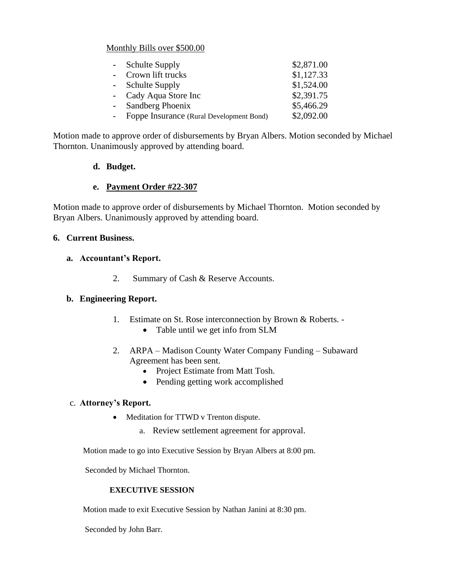### Monthly Bills over \$500.00

|    | - Schulte Supply                         | \$2,871.00 |
|----|------------------------------------------|------------|
|    | - Crown lift trucks                      | \$1,127.33 |
|    | - Schulte Supply                         | \$1,524.00 |
|    | - Cady Aqua Store Inc                    | \$2,391.75 |
|    | - Sandberg Phoenix                       | \$5,466.29 |
| ÷. | Foppe Insurance (Rural Development Bond) | \$2,092.00 |

Motion made to approve order of disbursements by Bryan Albers. Motion seconded by Michael Thornton. Unanimously approved by attending board.

### **d. Budget.**

### **e. Payment Order #22-307**

Motion made to approve order of disbursements by Michael Thornton. Motion seconded by Bryan Albers. Unanimously approved by attending board.

### **6. Current Business.**

### **a. Accountant's Report.**

2. Summary of Cash & Reserve Accounts.

## **b. Engineering Report.**

- 1. Estimate on St. Rose interconnection by Brown & Roberts.
	- Table until we get info from SLM
- 2. ARPA Madison County Water Company Funding Subaward Agreement has been sent.
	- Project Estimate from Matt Tosh.
	- Pending getting work accomplished

### c. **Attorney's Report.**

- Meditation for TTWD v Trenton dispute.
	- a. Review settlement agreement for approval.

Motion made to go into Executive Session by Bryan Albers at 8:00 pm.

Seconded by Michael Thornton.

### **EXECUTIVE SESSION**

Motion made to exit Executive Session by Nathan Janini at 8:30 pm.

Seconded by John Barr.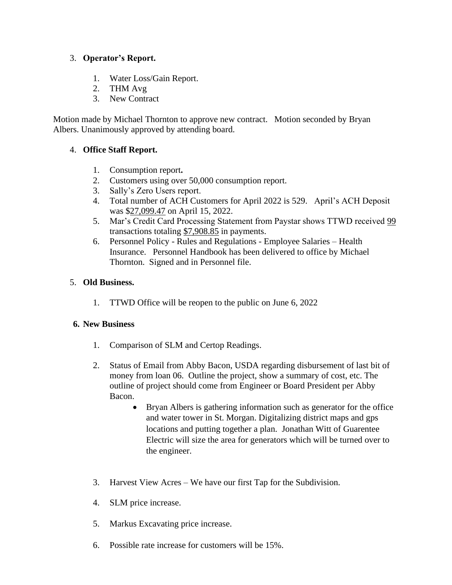## 3. **Operator's Report.**

- 1. Water Loss/Gain Report.
- 2. THM Avg
- 3. New Contract

Motion made by Michael Thornton to approve new contract. Motion seconded by Bryan Albers. Unanimously approved by attending board.

## 4. **Office Staff Report.**

- 1. Consumption report**.**
- 2. Customers using over 50,000 consumption report.
- 3. Sally's Zero Users report.
- 4. Total number of ACH Customers for April 2022 is 529. April's ACH Deposit was \$27,099.47 on April 15, 2022.
- 5. Mar's Credit Card Processing Statement from Paystar shows TTWD received 99 transactions totaling \$7,908.85 in payments.
- 6. Personnel Policy Rules and Regulations Employee Salaries Health Insurance. Personnel Handbook has been delivered to office by Michael Thornton. Signed and in Personnel file.

# 5. **Old Business.**

1. TTWD Office will be reopen to the public on June 6, 2022

## **6. New Business**

- 1. Comparison of SLM and Certop Readings.
- 2. Status of Email from Abby Bacon, USDA regarding disbursement of last bit of money from loan 06. Outline the project, show a summary of cost, etc. The outline of project should come from Engineer or Board President per Abby Bacon.
	- Bryan Albers is gathering information such as generator for the office and water tower in St. Morgan. Digitalizing district maps and gps locations and putting together a plan. Jonathan Witt of Guarentee Electric will size the area for generators which will be turned over to the engineer.
- 3. Harvest View Acres We have our first Tap for the Subdivision.
- 4. SLM price increase.
- 5. Markus Excavating price increase.
- 6. Possible rate increase for customers will be 15%.